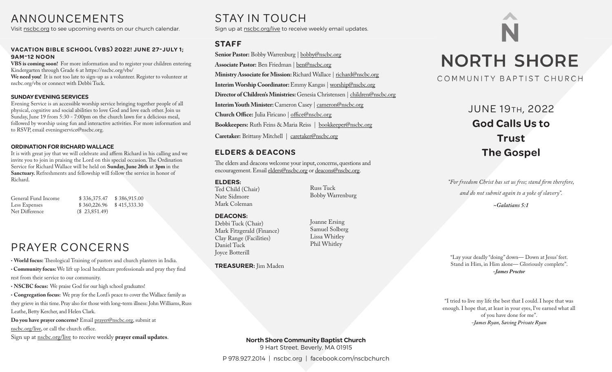# ANNOUNCEMENTS

Visit nscbc.org to see upcoming events on our church calendar.

#### VACATION BIBLE SCHOOL (VBS) 2022! JUNE 27-JULY 1: **9AM-12 NOON**

**VBS is coming soon!** For more information and to register your children entering Kindergarten through Grade 6 at https://nscbc.org/vbs/ **We need you!** It is not too late to sign-up as a volunteer. Register to volunteer at nscbc.org/vbs or connect with Debbi Tuck.

#### **SUNDAY EVENING SERVICES**

Evening Service is an accessible worship service bringing together people of all physical, cognitive and social abilities to love God and love each other. Join us Sunday, June 19 from 5:30 - 7:00pm on the church lawn for a delicious meal, followed by worship using fun and interactive activities. For more information and to RSVP, email eveningservice@nscbc.org.

#### **ORDINATION FOR RICHARD WALLACE**

It is with great joy that we will celebrate and affirm Richard in his calling and we invite you to join in praising the Lord on this special occasion. The Ordination Service for Richard Wallace will be held on **Sunday, June 26th** at **3pm** in the **Sanctuary.** Refreshments and fellowship will follow the service in honor of Richard.

General Fund Income \$ 336,375.47 \$ 386,915.00<br>  $\frac{1}{36}$  5360,226.96 \$ 415,333.30 Less Expenses \$ 360,226.96 \$ 415,333.30<br>Net Difference (\$ 23.851.49)  $($23,851.49)$ 

# PRAYER CONCERNS

• World focus: Theological Training of pastors and church planters in India. • Community focus: We lift up local healthcare professionals and pray they find

rest from their service to our community.

• **NSCBC focus:** We praise God for our high school graduates!

• **Congregation focus:** We pray for the Lord's peace to cover the Wallace family as they grieve in this time. Pray also for those with long-term illness: John Williams, Russ Leathe, Betty Kercher, and Helen Clark.

**Do you have prayer concerns?** Email prayer@nscbc.org, submit at nscbc.org/live, or call the church office.

Sign up at nscbc.org/live to receive weekly **prayer email updates**.

# STAY IN TOUCH

Sign up at nscbc.org/live to receive weekly email updates.

## **STAFF**

**Senior Pastor:** Bobby Warrenburg | bobby@nscbc.org **Associate Pastor:** Ben Friedman | ben@nscbc.org Ministry Associate for Mission: Richard Wallace | richard@nscbc.org **Interim Worship Coordinator:** Emmy Kangas | worship@nscbc.org **Director of Children's Ministries:** Genesia Christensen | children@nscbc.org **Interim Youth Minister:** Cameron Casey | cameron@nscbc.org **Church Office:** Julia Firicano | office@nscbc.org **Bookkeepers:** Ruth Feins & Maria Reiss | bookkeeper@nscbc.org **Caretaker:** Brittany Mitchell | caretaker@nscbc.org

### **ELDERS & DEACONS**

The elders and deacons welcome your input, concerns, questions and encouragement. Email elders@nscbc.org or deacons@nscbc.org.

#### **ELDERS:**

Ted Child (Chair) Nate Sidmore Mark Coleman

#### **DEACONS:**

Debbi Tuck (Chair) Mark Fitzgerald (Finance) Clay Range (Facilities) Daniel Tuck Joyce Botterill

**TREASURER:** Jim Maden

Joanne Ersing Samuel Solberg Lissa Whitley

Phil Whitley

Bobby Warrenburg

Russ Tuck

**NORTH SHORE** 

### COMMUNITY BAPTIST CHURCH

# JUNE 19TH, 2022 **God Calls Us to Trust The Gospel**

"For freedom Christ has set us free; stand firm therefore, *and do not submit again to a yoke of slavery". ~Galatians 5:1*

"Lay your deadly "doing" down— Down at Jesus' feet. Stand in Him, in Him alone— Gloriously complete". *-James Proctor*

"I tried to live my life the best that I could. I hope that was enough. I hope that, at least in your eyes, I've earned what all of you have done for me". *-James Ryan, Saving Private Ryan*

**North Shore Community Baptist Church** 9 Hart Street, Beverly, MA 01915

P 978.927.2014 | nscbc.org | facebook.com/nscbchurch